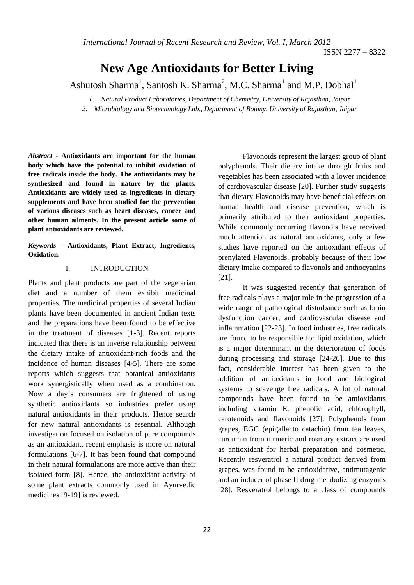ISSN 2277 – 8322

# **New Age Antioxidants for Better Living**

Ashutosh Sharma<sup>1</sup>, Santosh K. Sharma<sup>2</sup>, M.C. Sharma<sup>1</sup> and M.P. Dobhal<sup>1</sup>

*1. Natural Product Laboratories, Department of Chemistry, University of Rajasthan, Jaipur 2. Microbiology and Biotechnology Lab., Department of Botany, University of Rajasthan, Jaipur* 

*Abstract -* **Antioxidants are important for the human body which have the potential to inhibit oxidation of free radicals inside the body. The antioxidants may be synthesized and found in nature by the plants. Antioxidants are widely used as ingredients in dietary supplements and have been studied for the prevention of various diseases such as heart diseases, cancer and other human ailments. In the present article some of plant antioxidants are reviewed.** 

*Keywords –* **Antioxidants, Plant Extract, Ingredients, Oxidation.** 

#### I. INTRODUCTION

Plants and plant products are part of the vegetarian diet and a number of them exhibit medicinal properties. The medicinal properties of several Indian plants have been documented in ancient Indian texts and the preparations have been found to be effective in the treatment of diseases [1-3]. Recent reports indicated that there is an inverse relationship between the dietary intake of antioxidant-rich foods and the incidence of human diseases [4-5]. There are some reports which suggests that botanical antioxidants work synergistically when used as a combination. Now a day's consumers are frightened of using synthetic antioxidants so industries prefer using natural antioxidants in their products. Hence search for new natural antioxidants is essential. Although investigation focused on isolation of pure compounds as an antioxidant, recent emphasis is more on natural formulations [6-7]. It has been found that compound in their natural formulations are more active than their isolated form [8]. Hence, the antioxidant activity of some plant extracts commonly used in Ayurvedic medicines [9-19] is reviewed.

Flavonoids represent the largest group of plant polyphenols. Their dietary intake through fruits and vegetables has been associated with a lower incidence of cardiovascular disease [20]. Further study suggests that dietary Flavonoids may have beneficial effects on human health and disease prevention, which is primarily attributed to their antioxidant properties. While commonly occurring flavonols have received much attention as natural antioxidants, only a few studies have reported on the antioxidant effects of prenylated Flavonoids, probably because of their low dietary intake compared to flavonols and anthocyanins [21].

It was suggested recently that generation of free radicals plays a major role in the progression of a wide range of pathological disturbance such as brain dysfunction cancer, and cardiovascular disease and inflammation [22-23]. In food industries, free radicals are found to be responsible for lipid oxidation, which is a major determinant in the deterioration of foods during processing and storage [24-26]. Due to this fact, considerable interest has been given to the addition of antioxidants in food and biological systems to scavenge free radicals. A lot of natural compounds have been found to be antioxidants including vitamin E, phenolic acid, chlorophyll, carotenoids and flavonoids [27]. Polyphenols from grapes, EGC (epigallacto catachin) from tea leaves, curcumin from turmeric and rosmary extract are used as antioxidant for herbal preparation and cosmetic. Recently resveratrol a natural product derived from grapes, was found to be antioxidative, antimutagenic and an inducer of phase II drug-metabolizing enzymes [28]. Resveratrol belongs to a class of compounds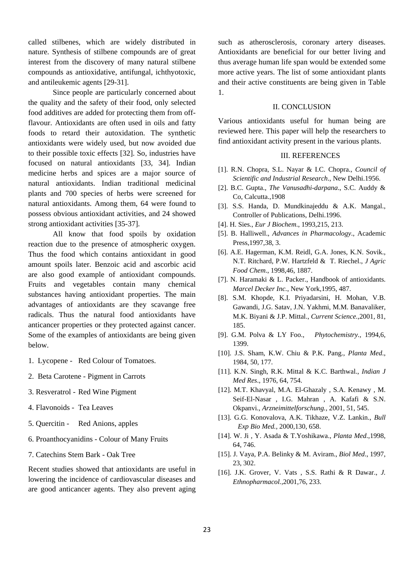called stilbenes, which are widely distributed in nature. Synthesis of stilbene compounds are of great interest from the discovery of many natural stilbene compounds as antioxidative, antifungal, ichthyotoxic, and antileukemic agents [29-31].

Since people are particularly concerned about the quality and the safety of their food, only selected food additives are added for protecting them from offflavour. Antioxidants are often used in oils and fatty foods to retard their autoxidation. The synthetic antioxidants were widely used, but now avoided due to their possible toxic effects [32]. So, industries have focused on natural antioxidants [33, 34]. Indian medicine herbs and spices are a major source of natural antioxidants. Indian traditional medicinal plants and 700 species of herbs were screened for natural antioxidants. Among them, 64 were found to possess obvious antioxidant activities, and 24 showed strong antioxidant activities [35-37].

All know that food spoils by oxidation reaction due to the presence of atmospheric oxygen. Thus the food which contains antioxidant in good amount spoils later. Benzoic acid and ascorbic acid are also good example of antioxidant compounds. Fruits and vegetables contain many chemical substances having antioxidant properties. The main advantages of antioxidants are they scavange free radicals. Thus the natural food antioxidants have anticancer properties or they protected against cancer. Some of the examples of antioxidants are being given below.

- 1. Lycopene Red Colour of Tomatoes.
- 2. Beta Carotene Pigment in Carrots
- 3. Resveratrol Red Wine Pigment
- 4. Flavonoids Tea Leaves
- 5. Quercitin Red Anions, apples
- 6. Proanthocyanidins Colour of Many Fruits
- 7. Catechins Stem Bark Oak Tree

Recent studies showed that antioxidants are useful in lowering the incidence of cardiovascular diseases and are good anticancer agents. They also prevent aging such as atherosclerosis, coronary artery diseases. Antioxidants are beneficial for our better living and thus average human life span would be extended some more active years. The list of some antioxidant plants and their active constituents are being given in Table 1.

#### II. CONCLUSION

Various antioxidants useful for human being are reviewed here. This paper will help the researchers to find antioxidant activity present in the various plants.

### III. REFERENCES

- [1]. R.N. Chopra, S.L. Nayar & I.C. Chopra., *Council of Scientific and Industrial Research*., New Delhi.1956.
- [2]. B.C. Gupta., *The Vanusadhi-darpana*., S.C. Auddy & Co, Calcutta.,1908
- [3]. S.S. Handa, D. Mundkinajeddu & A.K. Mangal., Controller of Publications, Delhi.1996.
- [4]. H. Sies., *Eur J Biochem*., 1993,215, 213.
- [5]. B. Halliwell., *Advances in Pharmacology*., Academic Press,1997,38, 3.
- [6]. A.E. Hagerman, K.M. Reidl, G.A. Jones, K.N. Sovik., N.T. Ritchard, P.W. Hartzfeld & T. Riechel., *J Agric Food Chem*., 1998,46, 1887.
- [7]. N. Haramaki & L. Packer., Handbook of antioxidants. *Marcel Decker Inc.*, New York,1995, 487.
- [8]. S.M. Khopde, K.I. Priyadarsini, H. Mohan, V.B. Gawandi, J.G. Satav, J.N. Yakhmi, M.M. Banavaliker, M.K. Biyani & J.P. Mittal., *Current Science.,*2001*,* 81, 185.
- [9]. G.M. Polva & LY Foo., *Phytochemistry.,* 1994*,*6, 1399.
- [10]. J.S. Sham, K.W. Chiu & P.K. Pang., *Planta Med*., 1984, 50, 177.
- [11]. K.N. Singh, R.K. Mittal & K.C. Barthwal., *Indian J Med Res*., 1976, 64, 754.
- [12]. M.T. Khavyal, M.A. El-Ghazaly , S.A. Kenawy , M. Seif-El-Nasar , I.G. Mahran , A. Kafafi & S.N. Okpanvi., *Arzneimittelforschung.,* 2001*,* 51, 545.
- [13]. G.G. Konovalova, A.K. Tikhaze, V.Z. Lankin., *Bull Exp Bio Med.,* 2000*,*130, 658.
- [14]. W. Ji , Y. Asada & T.Yoshikawa., *Planta Med*.,1998, 64, 746.
- [15]. J. Vaya, P.A. Belinky & M. Aviram., *Biol Med*., 1997, 23, 302.
- [16]. J.K. Grover, V. Vats , S.S. Rathi & R Dawar., *J. Ethnopharmacol.,*2001*,*76, 233.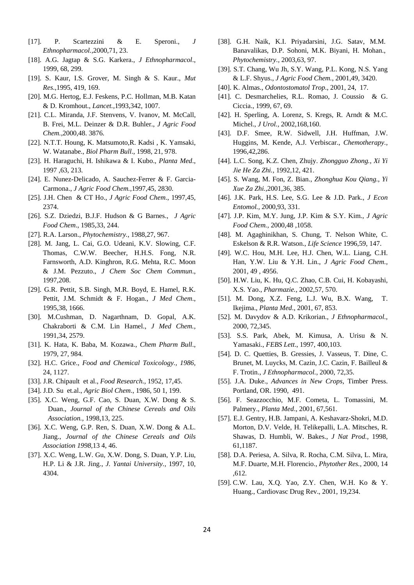- [17]. P. Scartezzini & E. Speroni., *J Ethnopharmacol.,*2000,71, 23.
- [18]. A.G. Jagtap & S.G. Karkera., *J Ethnopharmacol*., 1999, 68, 299.
- [19]. S. Kaur, I.S. Grover, M. Singh & S. Kaur., *Mut Res*.,1995, 419, 169.
- [20]. M.G. Hertog, E.J. Feskens, P.C. Hollman, M.B. Katan & D. Kromhout., *Lancet.,*1993,342, 1007.
- [21]. C.L. Miranda, J.F. Stenvens, V. Ivanov, M. McCall, B. Frei, M.L. Deinzer & D.R. Buhler., *J Agric Food Chem.,*2000*,*48. 3876.
- [22]. N.T.T. Houng, K. Matsumoto,R. Kadsi , K. Yamsaki, W. Watanabe., *Biol Pharm Bull*., 1998, 21, 978.
- [23]. H. Haraguchi, H. Ishikawa & I. Kubo., *Planta Med*., 1997 ,63, 213.
- [24]. E. Nunez-Delicado, A. Sauchez-Ferrer & F. Garcia-Carmona., *J Agric Food Chem.,*1997,45, 2830.
- [25]. J.H. Chen & CT Ho., *J Agric Food Chem*., 1997,45, 2374.
- [26]. S.Z. Dziedzi, B.J.F. Hudson & G Barnes., *J Agric Food Chem*., 1985,33, 244.
- [27]. R.A. Larson., *Phytochemistry.*, 1988,27, 967.
- [28]. M. Jang, L. Cai, G.O. Udeani, K.V. Slowing, C.F. Thomas, C.W.W. Beecher, H.H.S. Fong, N.R. Farnsworth, A.D. Kinghron, R.G. Mehta, R.C. Moon & J.M. Pezzuto., *J Chem Soc Chem Commun*., 1997,208.
- [29]. G.R. Pettit, S.B. Singh, M.R. Boyd, E. Hamel, R.K. Pettit, J.M. Schmidt & F. Hogan., *J Med Chem*., 1995,38, 1666.
- [30]. M.Cushman, D. Nagarthnam, D. Gopal, A.K. Chakraborti & C.M. Lin Hamel., *J Med Chem.,*  1991*,*34, 2579.
- [31]. K. Hata, K. Baba, M. Kozawa., *Chem Pharm Bull*., 1979, 27, 984.
- [32]. H.C. Grice., *Food and Chemical Toxicology., 1986,*  24, 1127.
- [33]. J.R. Chipault et al., *Food Research.,* 1952*,* 17,45.
- [34]. J.D. Su et.al., *Agric Biol Chem*., 1986, 50 1, 199.
- [35]. X.C. Weng, G.F. Cao, S. Duan, X.W. Dong & S. Duan., *Journal of the Chinese Cereals and Oils Association.,* 1998,13, 225.
- [36]. X.C. Weng, G.P. Ren, S. Duan, X.W. Dong & A.L. Jiang., *Journal of the Chinese Cereals and Oils Association 1998,*13 4, 46.
- [37]. X.C. Weng, L.W. Gu, X.W. Dong, S. Duan, Y.P. Liu, H.P. Li & J.R. Jing., *J. Yantai University.,* 1997*,* 10, 4304.
- [38]. G.H. Naik, K.I. Priyadarsini, J.G. Satav, M.M. Banavalikas, D.P. Sohoni, M.K. Biyani, H. Mohan., *Phytochemistry.,* 2003,63, 97.
- [39]. S.T. Chang, Wu Jh, S.Y. Wang, P.L. Kong, N.S. Yang & L.F. Shyus., *J Agric Food Chem.*, 2001,49, 3420.
- [40]. K. Almas., *Odontostomatol Trop*., 2001, 24, 17.
- [41]. C. Desmarchelies, R.L. Romao, J. Coussio & G. Ciccia., 1999, 67, 69.
- [42]. H. Sperling, A. Lorenz, S. Kregs, R. Arndt & M.C. Michel., *J Urol.,* 2002*,*168,160.
- [43]. D.F. Smee, R.W. Sidwell, J.H. Huffman, J.W. Huggins, M. Kende, A.J. Verbiscar., *Chemotherapy.,*  1996*,*42,286.
- [44]. L.C. Song, K.Z. Chen, Zhujy. *Zhongguo Zhong., Xi Yi Jie He Za Zhi.,* 1992*,*12, 421.
- [45]. S. Wang, M. Fon, Z. Bian., *Zhonghua Kou Qiang., Yi Xue Za Zhi.,*2001*,*36, 385.
- [46]. J.K. Park, H.S. Lee, S.G. Lee & J.D. Park., *J Econ Entomol.,* 2000*,*93, 331.
- [47]. J.P. Kim, M.Y. Jung, J.P. Kim & S.Y. Kim., *J Agric Food Chem.,* 2000*,*48 ,1058.
- [48]. M. Agaghinikhan, S. Chung, T. Nelson White, C. Eskelson & R.R. Watson., *Life Science* 1996*,*59, 147.
- [49]. W.C. Hou, M.H. Lee, H.J. Chen, W.L. Liang, C.H. Han, Y.W. Liu & Y.H. Lin., *J Agric Food Chem.,*  2001*,* 49 , 4956.
- [50]. H.W. Liu, K. Hu, Q.C. Zhao, C.B. Cui, H. Kobayashi, X.S. Yao., *Pharmazie.,* 2002*,*57, 570.
- [51]. M. Dong, X.Z. Feng, L.J. Wu, B.X. Wang, T. Ikejima., *Planta Med*., 2001, 67, 853.
- [52]. M. Davydov & A.D. Krikorian., *J Ethnopharmacol.,* 2000, 72,345.
- [53]. S.S. Park, Abek, M. Kimusa, A. Urisu & N. Yamasaki., *FEBS Lett*., 1997, 400,103.
- [54]. D. C. Quetties, B. Gressies, J. Vasseus, T. Dine, C. Brunet, M. Luycks, M. Cazin, J.C. Cazin, F. Bailleul & F. Trotin., *J Ethnopharmacol.,* 2000, 72,35.
- [55]. J.A. Duke., *Advances in New Crops*, Timber Press. Portland, OR. 1990, 491.
- [56]. F. Seazzocchio, M.F. Cometa, L. Tomassini, M. Palmery., *Planta Med*., 2001, 67,561.
- [57]. E.J. Gentry, H.B. Jampani, A. Keshavarz-Shokri, M.D. Morton, D.V. Velde, H. Telikepalli, L.A. Mitsches, R. Shawas, D. Humbli, W. Bakes., *J Nat Prod.,* 1998, 61,1187.
- [58]. D.A. Periesa, A. Silva, R. Rocha, C.M. Silva, L. Mira, M.F. Duarte, M.H. Florencio., *Phytother Res.,* 2000, 14 ,612.
- [59]. C.W. Lau, X.Q. Yao, Z.Y. Chen, W.H. Ko & Y. Huang., Cardiovasc Drug Rev., 2001, 19,234.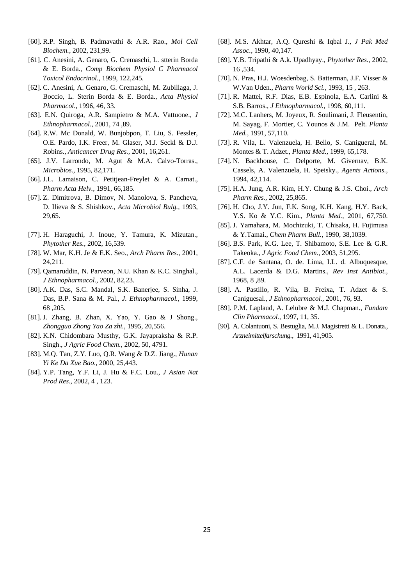- [60]. R.P. Singh, B. Padmavathi & A.R. Rao., *Mol Cell Biochem.,* 2002, 231,99.
- [61]. C. Anesini, A. Genaro, G. Cremaschi, L. stterin Borda & E. Borda., *Comp Biochem Physiol C Pharmacol Toxicol Endocrinol.,* 1999, 122,245.
- [62]. C. Anesini, A. Genaro, G. Cremaschi, M. Zubillaga, J. Boccio, L. Sterin Borda & E. Borda., *Acta Physiol Pharmacol*., 1996, 46, 33.
- [63]. E.N. Quiroga, A.R. Sampietro & M.A. Vattuone., *J Ethnopharmacol.,* 2001, 74 ,89.
- [64]. R.W. Mc Donald, W. Bunjobpon, T. Liu, S. Fessler, O.E. Pardo, I.K. Freer, M. Glaser, M.J. Seckl & D.J. Robins., *Anticancer Drug Res.,* 2001, 16,261.
- [65]. J.V. Larrondo, M. Agut & M.A. Calvo-Torras., *Microbios.,* 1995, 82,171.
- [66]. J.L. Lamaison, C. Petitjean-Freylet & A. Carnat., *Pharm Acta Helv.,* 1991, 66,185.
- [67]. Z. Dimitrova, B. Dimov, N. Manolova, S. Pancheva, D. Ilieva & S. Shishkov., *Acta Microbiol Bulg.,* 1993, 29,65.
- [77]. H. Haraguchi, J. Inoue, Y. Tamura, K. Mizutan., *Phytother Res.,* 2002, 16,539.
- [78]. W. Mar, K.H. Je & E.K. Seo., *Arch Pharm Res.,* 2001, 24,211.
- [79]. Qamaruddin, N. Parveon, N.U. Khan & K.C. Singhal., *J Ethnopharmacol.,* 2002, 82,23.
- [80]. A.K. Das, S.C. Mandal, S.K. Banerjee, S. Sinha, J. Das, B.P. Sana & M. Pal., *J. Ethnopharmacol.,* 1999, 68 ,205.
- [81]. J. Zhang, B. Zhan, X. Yao, Y. Gao & J Shong., *Zhongguo Zhong Yao Za zhi.,* 1995, 20,556.
- [82]. K.N. Chidombara Musthy, G.K. Jayapraksha & R.P. Singh., *J Agric Food Chem.,* 2002, 50, 4791.
- [83]. M.Q. Tan, Z.Y. Luo, Q.R. Wang & D.Z. Jiang., *Hunan Yi Ke Da Xue Bao*., 2000, 25,443.
- [84]. Y.P. Tang, Y.F. Li, J. Hu & F.C. Lou., *J Asian Nat Prod Res.,* 2002, 4 , 123.
- [68]. M.S. Akhtar, A.Q. Qureshi & Iqbal J., *J Pak Med Assoc.,* 1990, 40,147.
- [69]. Y.B. Tripathi & A.k. Upadhyay., *Phytother Res.,* 2002, 16 ,534.
- [70]. N. Pras, H.J. Woesdenbag, S. Batterman, J.F. Visser & W.Van Uden., *Pharm World Sci.,* 1993, 15 , 263.
- [71]. R. Mattei, R.F. Dias, E.B. Espinola, E.A. Carlini & S.B. Barros., *J Ethnopharmacol.,* 1998, 60,111.
- [72]. M.C. Lanhers, M. Joyeux, R. Soulimani, J. Fleusentin, M. Sayag, F. Mortier, C. Younos & J.M. Pelt. *Planta Med.,* 1991, 57,110.
- [73]. R. Vila, L. Valenzuela, H. Bello, S. Canigueral, M. Montes & T. Adzet., *Planta Med.,* 1999, 65,178.
- [74]. N. Backhouse, C. Delporte, M. Givernav, B.K. Cassels, A. Valenzuela, H. Speisky., *Agents Actions.,*  1994, 42,114.
- [75]. H.A. Jung, A.R. Kim, H.Y. Chung & J.S. Choi., *Arch Pharm Res.,* 2002, 25,865.
- [76]. H. Cho, J.Y. Jun, F.K. Song, K.H. Kang, H.Y. Back, Y.S. Ko & Y.C. Kim., *Planta Med.,* 2001, 67,750.
- [85]. J. Yamahara, M. Mochizuki, T. Chisaka, H. Fujimusa & Y.Tamai., *Chem Pharm Bull.,* 1990, 38,1039.
- [86]. B.S. Park, K.G. Lee, T. Shibamoto, S.E. Lee & G.R. Takeoka., *J Agric Food Chem.,* 2003, 51,295.
- [87]. C.F. de Santana, O. de. Lima, I.L. d. Albuquesque, A.L. Lacerda & D.G. Martins., *Rev Inst Antibiot.,*  1968, 8 ,89.
- [88]. A. Pastillo, R. Vila, B. Freixa, T. Adzet & S. Caniguesal., *J Ethnopharmacol.,* 2001, 76, 93.
- [89]. P.M. Laplaud, A. Lelubre & M.J. Chapman., *Fundam Clin Pharmacol.,* 1997, 11, 35.
- [90]. A. Colantuoni, S. Bestuglia, M.J. Magistretti & L. Donata., *Arzneimittelfarschung.,* 1991, 41,905.